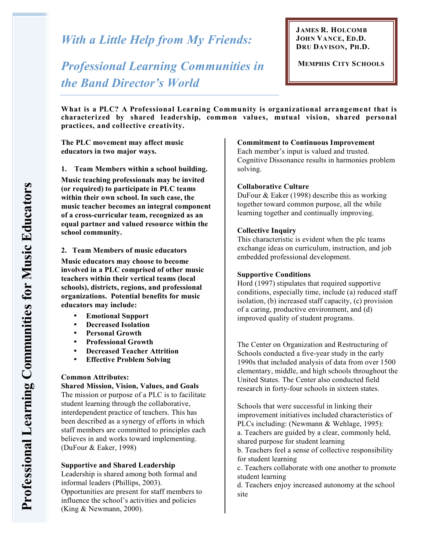*With a Little Help from My Friends:* 

*Professional Learning Communities in the Band Director's World*

**JAMES R. HOLCOMB JOHN VANCE, ED.D. DRU DAVISON, PH.D.**

**MEMPHIS CITY SCHOOLS**

**What is a PLC? A Professional Learning Community is organizational arrangement that is characteriz ed by shared leadership, common values, mutual vision, shared personal practices, and collective creativity.**

**The PLC movement may affect music educators in two major ways.**

**1. Team Members within a school building.**

**Music teaching professionals may be invited (or required) to participate in PLC teams within their own school. In such case, the music teacher becomes an integral component of a cross-curricular team, recognized as an equal partner and valued resource within the school community.**

#### **2. Team Members of music educators**

**Music educators may choose to become involved in a PLC comprised of other music teachers within their vertical teams (local schools), districts, regions, and professional organizations. Potential benefits for music educators may include:**

- **Emotional Support**
- **Decreased Isolation**
- **Personal Growth**
- **Professional Growth**
- **Decreased Teacher Attrition**
- **Effective Problem Solving**

### **Common Attributes:**

**Shared Mission, Vision, Values, and Goals** The mission or purpose of a PLC is to facilitate student learning through the collaborative, interdependent practice of teachers. This has been described as a synergy of efforts in which staff members are committed to principles each believes in and works toward implementing. (DuFour & Eaker, 1998)

#### **Supportive and Shared Leadership**

Leadership is shared among both formal and informal leaders (Phillips, 2003). Opportunities are present for staff members to influence the school's activities and policies (King & Newmann, 2000).

#### **Commitment to Continuous Improvement**

Each member's input is valued and trusted. Cognitive Dissonance results in harmonies problem solving.

#### **Collaborative Culture**

DuFour & Eaker (1998) describe this as working together toward common purpose, all the while learning together and continually improving.

#### **Collective Inquiry**

This characteristic is evident when the plc teams exchange ideas on curriculum, instruction, and job embedded professional development.

#### **Supportive Conditions**

Hord (1997) stipulates that required supportive conditions, especially time, include (a) reduced staff isolation, (b) increased staff capacity, (c) provision of a caring, productive environment, and (d) improved quality of student programs.

The Center on Organization and Restructuring of Schools conducted a five-year study in the early 1990s that included analysis of data from over 1500 elementary, middle, and high schools throughout the United States. The Center also conducted field research in forty-four schools in sixteen states.

Schools that were successful in linking their improvement initiatives included characteristics of PLCs including: (Newmann & Wehlage, 1995):

a. Teachers are guided by a clear, commonly held, shared purpose for student learning

b. Teachers feel a sense of collective responsibility for student learning

c. Teachers collaborate with one another to promote student learning

d. Teachers enjoy increased autonomy at the school site

**s**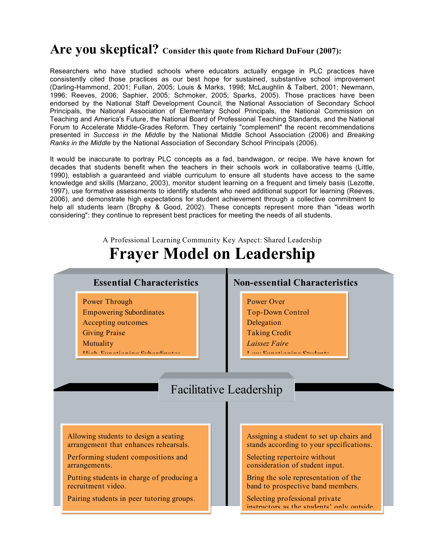## **Are you skeptical? Consider this quote from Richard DuFour (2007):**

Researchers who have studied schools where educators actually engage in PLC practices have consistently cited those practices as our best hope for sustained, substantive school improvement (Darling-Hammond, 2001; Fullan, 2005; Louis & Marks, 1998; McLaughlin & Talbert, 2001; Newmann, 1996; Reeves, 2006; Saphier, 2005; Schmoker, 2005; Sparks, 2005). Those practices have been endorsed by the National Staff Development Council, the National Association of Secondary School Principals, the National Association of Elementary School Principals, the National Commission on Teaching and America's Future, the National Board of Professional Teaching Standards, and the National Forum to Accelerate Middle-Grades Reform. They certainly "complement" the recent recommendations presented in *Success in the Middle* by the National Middle School Association (2006) and *Breaking Ranks in the Middle* by the National Association of Secondary School Principals (2006).

It would be inaccurate to portray PLC concepts as a fad, bandwagon, or recipe. We have known for decades that students benefit when the teachers in their schools work in collaborative teams (Little, 1990), establish a guaranteed and viable curriculum to ensure all students have access to the same knowledge and skills (Marzano, 2003), monitor student learning on a frequent and timely basis (Lezotte, 1997), use formative assessments to identify students who need additional support for learning (Reeves, 2006), and demonstrate high expectations for student achievement through a collective commitment to help all students learn (Brophy & Good, 2002). These concepts represent more than "ideas worth considering": they continue to represent best practices for meeting the needs of all students.

A Professional Learning Community Key Aspect: Shared Leadership

# **Frayer Model on Leadership**

- Power Through Empowering Subordinates
- Accepting outcomes
- Giving Praise
- Mutuality

High-Functioning Subordinates

## **Essential Characteristics**  Non-essential Characteristics

- Power Over
- Top-Down Control
- Delegation
- Taking Credit
- *Laissez Faire*

training.

Low Thursdan Students

## Facilitative Leadership

Allowing students to design a seating arrangement that enhances rehearsals.

Performing student compositions and arrangements.

Putting students in charge of producing a recruitment video.

Pairing students in peer tutoring groups.

Assigning a student to set up chairs and stands according to your specifications.

Selecting repertoire without consideration of student input.

Bring the sole representation of the band to prospective band members.

Selecting professional private instructors as the students' only outside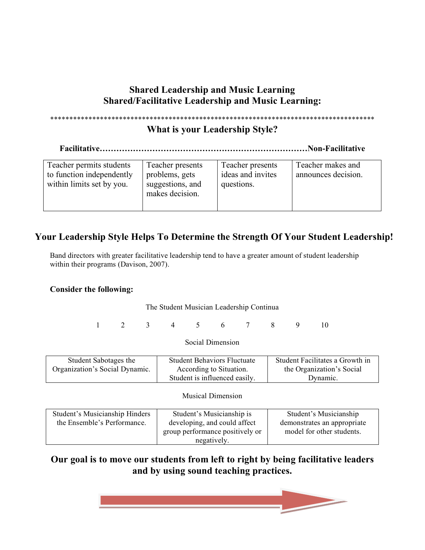## **Shared Leadership and Music Learning Shared/Facilitative Leadership and Music Learning:**

## \*\*\*\*\*\*\*\*\*\*\*\*\*\*\*\*\*\*\*\*\*\*\*\*\*\*\*\*\*\*\*\*\*\*\*\*\*\*\*\*\*\*\*\*\*\*\*\*\*\*\*\*\*\*\*\*\*\*\*\*\*\*\*\*\*\*\*\*\*\*\*\*\*\*\*\*\*\*\*\*\*\*\*\*\*

## **What is your Leadership Style?**

**Facilitative…………………………………………………………………Non-Facilitative**

| Teacher permits students<br>to function independently<br>within limits set by you. | Teacher presents<br>problems, gets<br>suggestions, and<br>makes decision. | Teacher presents<br>ideas and invites<br>questions. | Teacher makes and<br>announces decision. |
|------------------------------------------------------------------------------------|---------------------------------------------------------------------------|-----------------------------------------------------|------------------------------------------|
|------------------------------------------------------------------------------------|---------------------------------------------------------------------------|-----------------------------------------------------|------------------------------------------|

## **Your Leadership Style Helps To Determine the Strength Of Your Student Leadership!**

Band directors with greater facilitative leadership tend to have a greater amount of student leadership within their programs (Davison, 2007).

## **Consider the following:**

## The Student Musician Leadership Continua

1 2 3 4 5 6 7 8 9 10

## Social Dimension

| Student Sabotages the          | <b>Student Behaviors Fluctuate</b> | Student Facilitates a Growth in |
|--------------------------------|------------------------------------|---------------------------------|
| Organization's Social Dynamic. | According to Situation.            | the Organization's Social       |
|                                | Student is influenced easily.      | Dynamic.                        |

## Musical Dimension

| Student's Musicianship Hinders | Student's Musicianship is       | Student's Musicianship      |
|--------------------------------|---------------------------------|-----------------------------|
| the Ensemble's Performance.    | developing, and could affect    | demonstrates an appropriate |
|                                | group performance positively or | model for other students.   |
|                                | negatively.                     |                             |

## **Our goal is to move our students from left to right by being facilitative leaders and by using sound teaching practices.**